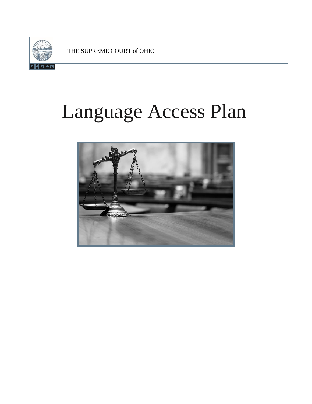

THE SUPREME COURT of OHIO

# Language Access Plan

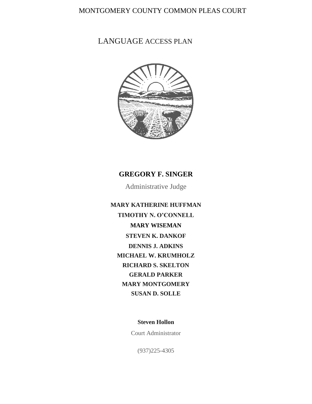### MONTGOMERY COUNTY COMMON PLEAS COURT

# LANGUAGE ACCESS PLAN



#### **GREGORY F. SINGER**

Administrative Judge

**MARY KATHERINE HUFFMAN TIMOTHY N. O'CONNELL MARY WISEMAN STEVEN K. DANKOF DENNIS J. ADKINS MICHAEL W. KRUMHOLZ RICHARD S. SKELTON GERALD PARKER MARY MONTGOMERY SUSAN D. SOLLE**

**Steven Hollon**

Court Administrator

(937)225-4305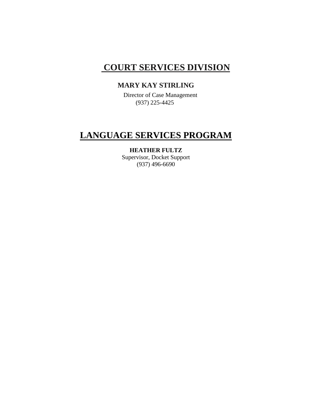# **COURT SERVICES DIVISION**

# **MARY KAY STIRLING**

 Director of Case Management (937) 225-4425

# **LANGUAGE SERVICES PROGRAM**

#### **HEATHER FULTZ**

Supervisor, Docket Support (937) 496-6690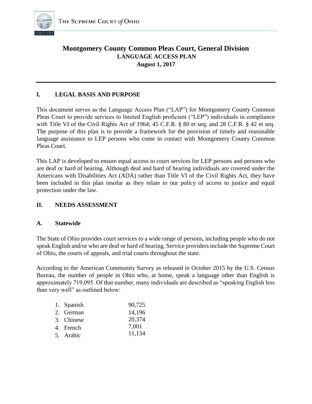

#### **Montgomery County Common Pleas Court, General Division LANGUAGE ACCESS PLAN August 1, 2017**

#### **I. LEGAL BASIS AND PURPOSE**

This document serves as the Language Access Plan ("LAP") for Montgomery County Common Pleas Court to provide services to limited English proficient ("LEP") individuals in compliance with Title VI of the Civil Rights Act of 1964; 45 C.F.R. § 80 et seq; and 28 C.F.R. § 42 et seq. The purpose of this plan is to provide a framework for the provision of timely and reasonable language assistance to LEP persons who come in contact with Montgomery County Common Pleas Court.

This LAP is developed to ensure equal access to court services for LEP persons and persons who are deaf or hard of hearing. Although deaf and hard of hearing individuals are covered under the Americans with Disabilities Act (ADA) rather than Title VI of the Civil Rights Act, they have been included in this plan insofar as they relate to our policy of access to justice and equal protection under the law.

#### **II. NEEDS ASSESSMENT**

#### **A. Statewide**

The State of Ohio provides court services to a wide range of persons, including people who do not speak English and/or who are deaf or hard of hearing. Service providers include the Supreme Court of Ohio, the courts of appeals, and trial courts throughout the state.

According to the American Community Survey as released in October 2015 by the U.S. Census Bureau, the number of people in Ohio who, at home, speak a language other than English is approximately 719,095. Of that number, many individuals are described as "speaking English less than very well" as outlined below:

| 1. Spanish | 90,725 |
|------------|--------|
| 2. German  | 14,196 |
| 3. Chinese | 20,374 |
| 4. French  | 7,001  |
| 5. Arabic  | 11,134 |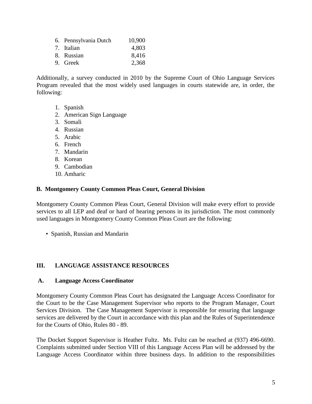| 6. Pennsylvania Dutch | 10,900 |
|-----------------------|--------|
| 7. Italian            | 4,803  |
| 8. Russian            | 8,416  |
| 9. Greek              | 2,368  |

Additionally, a survey conducted in 2010 by the Supreme Court of Ohio Language Services Program revealed that the most widely used languages in courts statewide are, in order, the following:

- 1. Spanish
- 2. American Sign Language
- 3. Somali
- 4. Russian
- 5. Arabic
- 6. French
- 7. Mandarin
- 8. Korean
- 9. Cambodian
- 10. Amharic

#### **B. Montgomery County Common Pleas Court, General Division**

Montgomery County Common Pleas Court, General Division will make every effort to provide services to all LEP and deaf or hard of hearing persons in its jurisdiction. The most commonly used languages in Montgomery County Common Pleas Court are the following:

• Spanish, Russian and Mandarin

#### **III. LANGUAGE ASSISTANCE RESOURCES**

#### **A. Language Access Coordinator**

Montgomery County Common Pleas Court has designated the Language Access Coordinator for the Court to be the Case Management Supervisor who reports to the Program Manager, Court Services Division. The Case Management Supervisor is responsible for ensuring that language services are delivered by the Court in accordance with this plan and the Rules of Superintendence for the Courts of Ohio, Rules 80 - 89.

The Docket Support Supervisor is Heather Fultz. Ms. Fultz can be reached at (937) 496-6690. Complaints submitted under Section VIII of this Language Access Plan will be addressed by the Language Access Coordinator within three business days. In addition to the responsibilities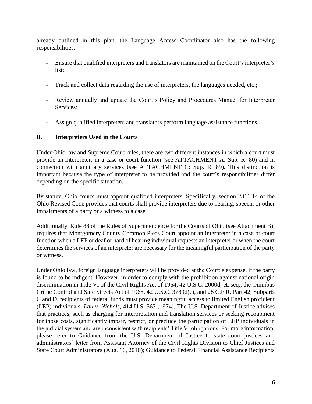already outlined in this plan, the Language Access Coordinator also has the following responsibilities:

- Ensure that qualified interpreters and translators are maintained on the Court's interpreter's list;
- Track and collect data regarding the use of interpreters, the languages needed, etc.;
- Review annually and update the Court's Policy and Procedures Manuel for Interpreter Services:
- Assign qualified interpreters and translators perform language assistance functions.

#### **B. Interpreters Used in the Courts**

Under Ohio law and Supreme Court rules, there are two different instances in which a court must provide an interpreter: in a case or court function (see ATTACHMENT A: Sup. R. 80) and in connection with ancillary services (see ATTACHMENT C: Sup. R. 89). This distinction is important because the type of interpreter to be provided and the court's responsibilities differ depending on the specific situation.

By statute, Ohio courts must appoint qualified interpreters. Specifically, section 2311.14 of the Ohio Revised Code provides that courts shall provide interpreters due to hearing, speech, or other impairments of a party or a witness to a case.

Additionally, Rule 88 of the Rules of Superintendence for the Courts of Ohio (see Attachment B), requires that Montgomery County Common Pleas Court appoint an interpreter in a case or court function when a LEP or deaf or hard of hearing individual requests an interpreter or when the court determines the services of an interpreter are necessary for the meaningful participation of the party or witness.

Under Ohio law, foreign language interpreters will be provided at the Court's expense, if the party is found to be indigent. However, in order to comply with the prohibition against national origin discrimination in Title VI of the Civil Rights Act of 1964, 42 U.S.C. 2000d, et. seq., the Omnibus Crime Control and Safe Streets Act of 1968, 42 U.S.C. 3789d(c), and 28 C.F.R. Part 42, Subparts C and D, recipients of federal funds must provide meaningful access to limited English proficient (LEP) individuals. *Lau v. Nichols*, 414 U.S. 563 (1974). The U.S. Department of Justice advises that practices, such as charging for interpretation and translation services or seeking recoupment for those costs, significantly impair, restrict, or preclude the participation of LEP individuals in the judicial system and are inconsistent with recipients' Title VI obligations. For more information, please refer to Guidance from the U.S. Department of Justice to state court justices and administrators' letter from Assistant Attorney of the Civil Rights Division to Chief Justices and State Court Administrators (Aug. 16, 2010); Guidance to Federal Financial Assistance Recipients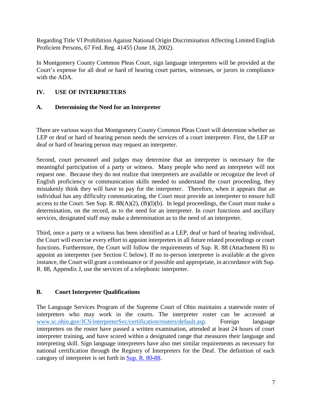Regarding Title VI Prohibition Against National Origin Discrimination Affecting Limited English Proficient Persons, 67 Fed. Reg. 41455 (June 18, 2002).

In Montgomery County Common Pleas Court, sign language interpreters will be provided at the Court's expense for all deaf or hard of hearing court parties, witnesses, or jurors in compliance with the ADA.

#### **IV. USE OF INTERPRETERS**

#### **A. Determining the Need for an Interpreter**

There are various ways that Montgomery County Common Pleas Court will determine whether an LEP or deaf or hard of hearing person needs the services of a court interpreter. First, the LEP or deaf or hard of hearing person may request an interpreter.

Second, court personnel and judges may determine that an interpreter is necessary for the meaningful participation of a party or witness. Many people who need an interpreter will not request one. Because they do not realize that interpreters are available or recognize the level of English proficiency or communication skills needed to understand the court proceeding, they mistakenly think they will have to pay for the interpreter. Therefore, when it appears that an individual has any difficulty communicating, the Court must provide an interpreter to ensure full access to the Court. See Sup. R. 88(A)(2), (B)(l)(b). In legal proceedings, the Court must make a determination, on the record, as to the need for an interpreter. In court functions and ancillary services, designated staff may make a determination as to the need of an interpreter.

Third, once a party or a witness has been identified as a LEP, deaf or hard of hearing individual, the Court will exercise every effort to appoint interpreters in all future related proceedings or court functions. Furthermore, the Court will follow the requirements of Sup. R. 88 (Attachment B) to appoint an interpreter (see Section C below). If no in-person interpreter is available at the given instance, the Court will grant a continuance or if possible and appropriate, in accordance with Sup. R. 88, Appendix J, use the services of a telephonic interpreter.

#### **B. Court Interpreter Qualifications**

The Language Services Program of the Supreme Court of Ohio maintains a statewide roster of interpreters who may work in the courts. The interpreter roster can be accessed at [www.sc.ohio.gov/JCS/interpreterSvc/certification/rosters/default.asp.](http://www.sc.ohio.gov/JCS/interpreterSvc/certification/rosters/default.asp) Foreign language interpreters on the roster have passed a written examination, attended at least 24 hours of court interpreter training, and have scored within a designated range that measures their language and interpreting skill. Sign language interpreters have also met similar requirements as necessary for national certification through the Registry of Interpreters for the Deaf. The definition of each category of interpreter is set forth in Sup. [R. 80-88.](http://www.supremecourt.ohio.gov/LegalResources/Rules/superintendence/Superintendence.pdf%23Rule80)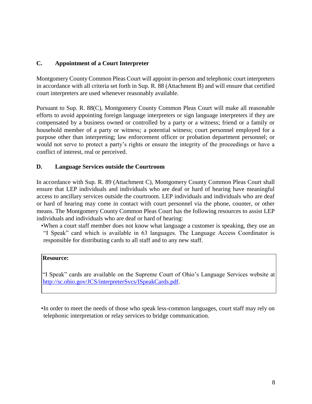#### **C. Appointment of a Court Interpreter**

Montgomery County Common Pleas Court will appoint in-person and telephonic court interpreters in accordance with all criteria set forth in Sup. R. 88 (Attachment B) and will ensure that certified court interpreters are used whenever reasonably available.

Pursuant to Sup. R. 88(C), Montgomery County Common Pleas Court will make all reasonable efforts to avoid appointing foreign language interpreters or sign language interpreters if they are compensated by a business owned or controlled by a party or a witness; friend or a family or household member of a party or witness; a potential witness; court personnel employed for a purpose other than interpreting; law enforcement officer or probation department personnel; or would not serve to protect a party's rights or ensure the integrity of the proceedings or have a conflict of interest, real or perceived.

#### **D. Language Services outside the Courtroom**

In accordance with Sup. R. 89 (Attachment C), Montgomery County Common Pleas Court shall ensure that LEP individuals and individuals who are deaf or hard of hearing have meaningful access to ancillary services outside the courtroom. LEP individuals and individuals who are deaf or hard of hearing may come in contact with court personnel via the phone, counter, or other means. The Montgomery County Common Pleas Court has the following resources to assist LEP individuals and individuals who are deaf or hard of hearing:

•When a court staff member does not know what language a customer is speaking, they use an "I Speak" card which is available in 63 languages. The Language Access Coordinator is responsible for distributing cards to all staff and to any new staff.

#### **Resource:**

"I Speak" cards are available on the Supreme Court of Ohio's Language Services website at [http://sc.ohio.gov/JCS/interpreterSvcs/ISpeakCards.pdf.](http://sc.ohio.gov/JCS/interpreterSvcs/ISpeakCards.pdf) 

•In order to meet the needs of those who speak less-common languages, court staff may rely on telephonic interpretation or relay services to bridge communication.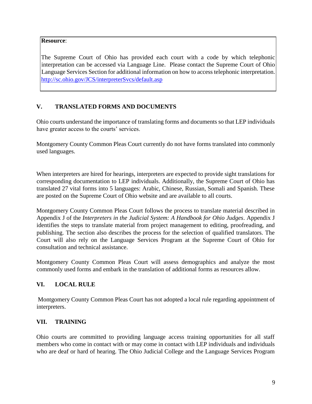#### **Resource**:

The Supreme Court of Ohio has provided each court with a code by which telephonic interpretation can be accessed via Language Line. Please contact the Supreme Court of Ohio Language Services Section for additional information on how to access telephonic interpretation. <http://sc.ohio.gov/JCS/interpreterSvcs/default.asp>

#### **V. TRANSLATED FORMS AND DOCUMENTS**

Ohio courts understand the importance of translating forms and documents so that LEP individuals have greater access to the courts' services.

Montgomery County Common Pleas Court currently do not have forms translated into commonly used languages.

When interpreters are hired for hearings, interpreters are expected to provide sight translations for corresponding documentation to LEP individuals. Additionally, the Supreme Court of Ohio has translated 27 vital forms into 5 languages: Arabic, Chinese, Russian, Somali and Spanish. These are posted on the Supreme Court of Ohio website and are available to all courts.

Montgomery County Common Pleas Court follows the process to translate material described in Appendix J of the *Interpreters in the Judicial System: A Handbook for Ohio Judges*. Appendix J identifies the steps to translate material from project management to editing, proofreading, and publishing. The section also describes the process for the selection of qualified translators. The Court will also rely on the Language Services Program at the Supreme Court of Ohio for consultation and technical assistance.

Montgomery County Common Pleas Court will assess demographics and analyze the most commonly used forms and embark in the translation of additional forms as resources allow.

#### **VI. LOCAL RULE**

Montgomery County Common Pleas Court has not adopted a local rule regarding appointment of interpreters.

#### **[VII. TR](http://www.supremecourt.ohio.gov/Boards/judCollege/default.aspx)AINING**

Ohio courts are committed to providing language access training opportunities for all staff members who come in contact with or may come in contact with LEP individuals and individuals who are deaf or hard of hearing. The Ohio Judicial College and the Language Services Program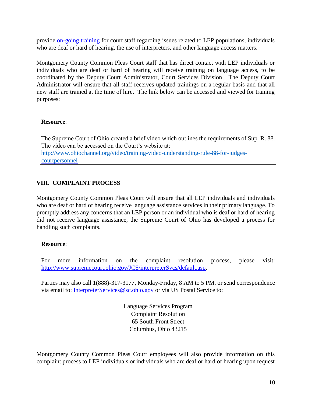provide on-going training for court staff regarding issues related to LEP populations, individuals who are deaf or hard of hearing, the use of interpreters, and other language access matters.

Montgomery County Common Pleas Court staff that has direct contact with LEP individuals or individuals who are deaf or hard of hearing will receive training on language access, to be coordinated by the Deputy Court Administrator, Court Services Division. The Deputy Court Administrator will ensure that all staff receives updated trainings on a regular basis and that all new staff are trained at the time of hire. The link below can be accessed and viewed for training purposes:

#### **[Resource](http://www.ohiochannel.org/video/training-video-understanding-rule-88-for-judges-court-personnel)**[:](http://www.ohiochannel.org/video/training-video-understanding-rule-88-for-judges-court-personnel)

The Supreme Court of Ohio created a brief video which outlines the requirements of Sup. R. 88. The video can be accessed on the Court's website at: [http://www.ohiochannel.org/video/training-video-understanding-rule-88-for-judges](http://www.ohiochannel.org/video/training-video-understanding-rule-88-for-judges-courtpersonnel)[courtpersonnel](http://www.ohiochannel.org/video/training-video-understanding-rule-88-for-judges-courtpersonnel)

#### **VIII. COMPLAINT PROCESS**

Montgomery County Common Pleas Court will ensure that all LEP individuals and individuals who are deaf or hard of hearing receive language assistance services in their primary language. To promptly address any concerns that an LEP person or an individual who is deaf or hard of hearing did not receive language [assistance, the Supreme Court of Ohio has developed a process for](http://www.supremecourt.ohio.gov/JCS/interpreterSvcs/default.asp)  [han](http://www.supremecourt.ohio.gov/JCS/interpreterSvcs/default.asp)dling such complaints.

#### **Resource**:

For more information on the complaint resolution process, please visit: http://www.supremecourt.ohio.gov/JCS/interpreterSvcs/default.asp.

Parties may also call 1(888)-317-3177, Monday-Friday, 8 AM to 5 PM, or send correspondence via email to: InterpreterServices@sc.ohio.gov or via US Postal Service to:

> Language Services Program Complaint Resolution 65 South Front Street Columbus, Ohio 43215

Montgomery County Common Pleas Court employees will also provide information on this complaint process to LEP individuals or individuals who are deaf or hard of hearing upon request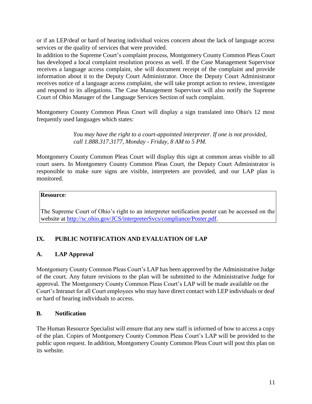or if an LEP/deaf or hard of hearing individual voices concern about the lack of language access services or the quality of services that were provided.

In addition to the Supreme Court's complaint process, Montgomery County Common Pleas Court has developed a local complaint resolution process as well. If the Case Management Supervisor receives a language access complaint, she will document receipt of the complaint and provide information about it to the Deputy Court Administrator. Once the Deputy Court Administrator receives notice of a language access complaint, she will take prompt action to review, investigate and respond to its allegations. The Case Management Supervisor will also notify the Supreme Court of Ohio Manager of the Language Services Section of such complaint.

Montgomery County Common Pleas Court will display a sign translated into Ohio's 12 most frequently used languages which states:

> *You may have the right to a court-appointed interpreter. If one is not provided, call 1.888.317.3177, Monday - Friday, 8 AM to 5 PM.*

Montgomery County Common Pleas Court will display this sign at common areas visible to all court users. In Montgomery County Common Pleas Court, the Deputy Court Administrator is responsible to make sure signs are visible, interpreters are provided, and our LAP plan is monitored.

#### **Resource**:

The Supreme Court of Ohio's right to an interpreter notification poster can be accessed on the website at http://sc.ohio.gov/JCS/interpreterSvcs/compliance/Poster.pdf.

#### **IX. PUBLIC NOTIFICATION AND EVALUATION OF LAP**

#### **A. LAP Approval**

Montgomery County Common Pleas Court's LAP has been approved by the Administrative Judge of the court. Any future revisions to the plan will be submitted to the Administrative Judge for approval. The Montgomery County Common Pleas Court's LAP will be made available on the Court's Intranet for all Court employees who may have direct contact with LEP individuals or deaf or hard of hearing individuals to access.

#### **B. Notification**

The Human Resource Specialist will ensure that any new staff is informed of how to access a copy of the plan. Copies of Montgomery County Common Pleas Court's LAP will be provided to the public upon request. In addition, Montgomery County Common Pleas Court will post this plan on its website.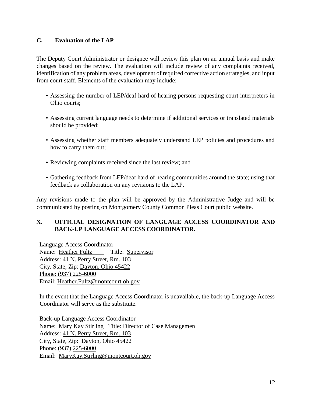#### **C. Evaluation of the LAP**

The Deputy Court Administrator or designee will review this plan on an annual basis and make changes based on the review. The evaluation will include review of any complaints received, identification of any problem areas, development of required corrective action strategies, and input from court staff. Elements of the evaluation may include:

- Assessing the number of LEP/deaf hard of hearing persons requesting court interpreters in Ohio courts;
- Assessing current language needs to determine if additional services or translated materials should be provided;
- Assessing whether staff members adequately understand LEP policies and procedures and how to carry them out;
- Reviewing complaints received since the last review; and
- Gathering feedback from LEP/deaf hard of hearing communities around the state; using that feedback as collaboration on any revisions to the LAP.

Any revisions made to the plan will be approved by the Administrative Judge and will be communicated by posting on Montgomery County Common Pleas Court public website.

#### **X. OFFICIAL DESIGNATION OF LANGUAGE ACCESS COORDINATOR AND BACK-UP LANGUAGE ACCESS COORDINATOR.**

Language Access Coordinator Name: Heather Fultz Title: Supervisor Address: 41 N. Perry Street, Rm. 103 City, State, Zip: Dayton, Ohio 45422 Phone: (937) 225-6000 Email: Heather.Fultz@montcourt.oh.gov

In the event that the Language Access Coordinator is unavailable, the back-up Language Access Coordinator will serve as the substitute.

Back-up Language Access Coordinator Name: Mary Kay Stirling Title: Director of Case Managemen Address: 41 N. Perry Street, Rm. 103 City, State, Zip: Dayton, Ohio 45422 Phone: (937) 225-6000 Email: MaryKay.Stirling@montcourt.oh.gov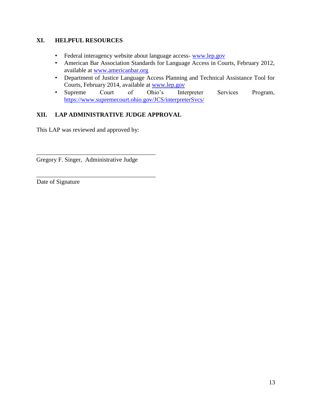#### **XI. HELPFUL RESOURCES**

- Federal interagency website about language access- www.lep.gov
- American Bar Association Standards for Language Access in Courts, February 2012, available at www.americanbar.org
- Department of Justice Language Access Planning and Technical Assistance Tool for Courts, February 2014, available at www.lep.gov
- Supreme Court of Ohio's Interpreter Services Program, https://www.supremecourt.ohio.gov/JCS/interpreterSvcs/

#### **XII. LAP ADMINISTRATIVE JUDGE APPROVAL**

This LAP was reviewed and approved by:

Gregory F. Singer, Administrative Judge

\_\_\_\_\_\_\_\_\_\_\_\_\_\_\_\_\_\_\_\_\_\_\_\_\_\_\_\_\_\_\_\_\_\_\_\_\_\_\_

\_\_\_\_\_\_\_\_\_\_\_\_\_\_\_\_\_\_\_\_\_\_\_\_\_\_\_\_\_\_\_\_\_\_\_\_\_\_\_

Date of Signature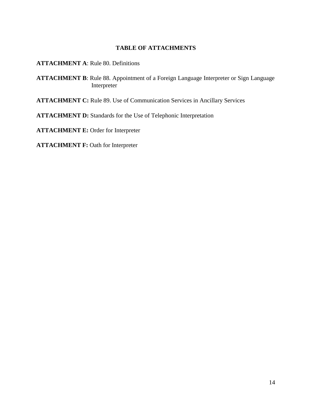#### **TABLE OF ATTACHMENTS**

**ATTACHMENT A**: Rule 80. Definitions

**ATTACHMENT B**: Rule 88. Appointment of a Foreign Language Interpreter or Sign Language Interpreter

**ATTACHMENT C:** Rule 89. Use of Communication Services in Ancillary Services

**ATTACHMENT D:** Standards for the Use of Telephonic Interpretation

**ATTACHMENT E:** Order for Interpreter

**ATTACHMENT F: Oath for Interpreter**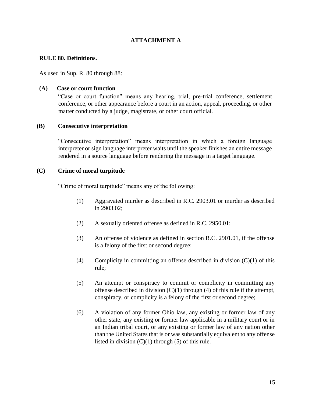#### **ATTACHMENT A**

#### **RULE 80. Definitions.**

As used in Sup. R. 80 through 88:

#### **(A) Case or court function**

"Case or court function" means any hearing, trial, pre-trial conference, settlement conference, or other appearance before a court in an action, appeal, proceeding, or other matter conducted by a judge, magistrate, or other court official.

#### **(B) Consecutive interpretation**

"Consecutive interpretation" means interpretation in which a foreign language interpreter or sign language interpreter waits until the speaker finishes an entire message rendered in a source language before rendering the message in a target language.

#### **(C) Crime of moral turpitude**

"Crime of moral turpitude" means any of the following:

- (1) Aggravated murder as described in R.C. 2903.01 or murder as described in 2903.02;
- (2) A sexually oriented offense as defined in R.C. 2950.01;
- (3) An offense of violence as defined in section R.C. 2901.01, if the offense is a felony of the first or second degree;
- (4) Complicity in committing an offense described in division  $(C)(1)$  of this rule;
- (5) An attempt or conspiracy to commit or complicity in committing any offense described in division  $(C)(1)$  through (4) of this rule if the attempt, conspiracy, or complicity is a felony of the first or second degree;
- (6) A violation of any former Ohio law, any existing or former law of any other state, any existing or former law applicable in a military court or in an Indian tribal court, or any existing or former law of any nation other than the United States that is or was substantially equivalent to any offense listed in division  $(C)(1)$  through (5) of this rule.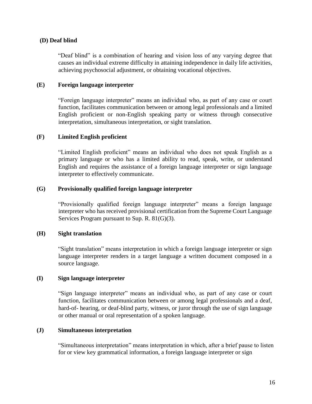#### **(D) Deaf blind**

"Deaf blind" is a combination of hearing and vision loss of any varying degree that causes an individual extreme difficulty in attaining independence in daily life activities, achieving psychosocial adjustment, or obtaining vocational objectives.

#### **(E) Foreign language interpreter**

"Foreign language interpreter" means an individual who, as part of any case or court function, facilitates communication between or among legal professionals and a limited English proficient or non-English speaking party or witness through consecutive interpretation, simultaneous interpretation, or sight translation.

#### **(F) Limited English proficient**

"Limited English proficient" means an individual who does not speak English as a primary language or who has a limited ability to read, speak, write, or understand English and requires the assistance of a foreign language interpreter or sign language interpreter to effectively communicate.

#### **(G) Provisionally qualified foreign language interpreter**

"Provisionally qualified foreign language interpreter" means a foreign language interpreter who has received provisional certification from the Supreme Court Language Services Program pursuant to Sup. R. 81(G)(3).

#### **(H) Sight translation**

"Sight translation" means interpretation in which a foreign language interpreter or sign language interpreter renders in a target language a written document composed in a source language.

#### **(I) Sign language interpreter**

"Sign language interpreter" means an individual who, as part of any case or court function, facilitates communication between or among legal professionals and a deaf, hard-of- hearing, or deaf-blind party, witness, or juror through the use of sign language or other manual or oral representation of a spoken language.

#### **(J) Simultaneous interpretation**

"Simultaneous interpretation" means interpretation in which, after a brief pause to listen for or view key grammatical information, a foreign language interpreter or sign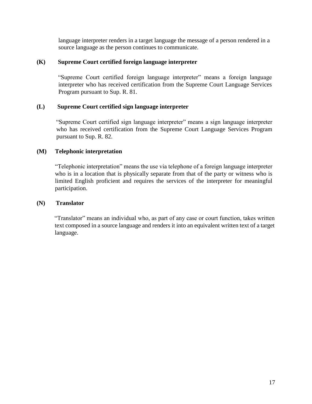language interpreter renders in a target language the message of a person rendered in a source language as the person continues to communicate.

#### **(K) Supreme Court certified foreign language interpreter**

"Supreme Court certified foreign language interpreter" means a foreign language interpreter who has received certification from the Supreme Court Language Services Program pursuant to Sup. R. 81.

#### **(L) Supreme Court certified sign language interpreter**

"Supreme Court certified sign language interpreter" means a sign language interpreter who has received certification from the Supreme Court Language Services Program pursuant to Sup. R. 82.

#### **(M) Telephonic interpretation**

"Telephonic interpretation" means the use via telephone of a foreign language interpreter who is in a location that is physically separate from that of the party or witness who is limited English proficient and requires the services of the interpreter for meaningful participation.

#### **(N) Translator**

"Translator" means an individual who, as part of any case or court function, takes written text composed in a source language and renders it into an equivalent written text of a target language.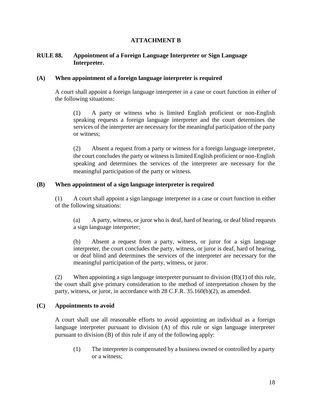#### **ATTACHMENT B**

#### **RULE 88. Appointment of a Foreign Language Interpreter or Sign Language Interpreter.**

#### **(A) When appointment of a foreign language interpreter is required**

A court shall appoint a foreign language interpreter in a case or court function in either of the following situations:

(1) A party or witness who is limited English proficient or non-English speaking requests a foreign language interpreter and the court determines the services of the interpreter are necessary for the meaningful participation of the party or witness;

(2) Absent a request from a party or witness for a foreign language interpreter, the court concludes the party or witness is limited English proficient or non-English speaking and determines the services of the interpreter are necessary for the meaningful participation of the party or witness.

#### **(B) When appointment of a sign language interpreter is required**

(1) A court shall appoint a sign language interpreter in a case or court function in either of the following situations:

(a) A party, witness, or juror who is deaf, hard of hearing, or deaf blind requests a sign language interpreter;

(b) Absent a request from a party, witness, or juror for a sign language interpreter, the court concludes the party, witness, or juror is deaf, hard of hearing, or deaf blind and determines the services of the interpreter are necessary for the meaningful participation of the party, witness, or juror.

(2) When appointing a sign language interpreter pursuant to division  $(B)(1)$  of this rule, the court shall give primary consideration to the method of interpretation chosen by the party, witness, or juror, in accordance with 28 C.F.R. 35.160(b)(2), as amended.

#### **(C) Appointments to avoid**

A court shall use all reasonable efforts to avoid appointing an individual as a foreign language interpreter pursuant to division (A) of this rule or sign language interpreter pursuant to division (B) of this rule if any of the following apply:

(1) The interpreter is compensated by a business owned or controlled by a party or a witness;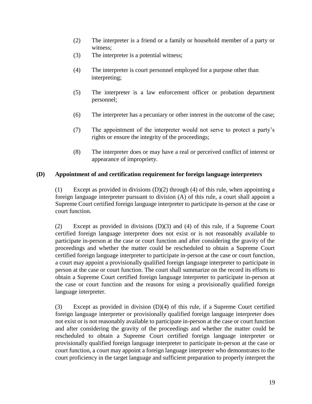- (2) The interpreter is a friend or a family or household member of a party or witness;
- (3) The interpreter is a potential witness;
- (4) The interpreter is court personnel employed for a purpose other than interpreting;
- (5) The interpreter is a law enforcement officer or probation department personnel;
- (6) The interpreter has a pecuniary or other interest in the outcome of the case;
- (7) The appointment of the interpreter would not serve to protect a party's rights or ensure the integrity of the proceedings;
- (8) The interpreter does or may have a real or perceived conflict of interest or appearance of impropriety.

#### **(D) Appointment of and certification requirement for foreign language interpreters**

(1) Except as provided in divisions  $(D)(2)$  through (4) of this rule, when appointing a foreign language interpreter pursuant to division (A) of this rule, a court shall appoint a Supreme Court certified foreign language interpreter to participate in-person at the case or court function.

(2) Except as provided in divisions (D)(3) and (4) of this rule, if a Supreme Court certified foreign language interpreter does not exist or is not reasonably available to participate in-person at the case or court function and after considering the gravity of the proceedings and whether the matter could be rescheduled to obtain a Supreme Court certified foreign language interpreter to participate in-person at the case or court function, a court may appoint a provisionally qualified foreign language interpreter to participate in person at the case or court function. The court shall summarize on the record its efforts to obtain a Supreme Court certified foreign language interpreter to participate in-person at the case or court function and the reasons for using a provisionally qualified foreign language interpreter.

(3) Except as provided in division (D)(4) of this rule, if a Supreme Court certified foreign language interpreter or provisionally qualified foreign language interpreter does not exist or is not reasonably available to participate in-person at the case or court function and after considering the gravity of the proceedings and whether the matter could be rescheduled to obtain a Supreme Court certified foreign language interpreter or provisionally qualified foreign language interpreter to participate in-person at the case or court function, a court may appoint a foreign language interpreter who demonstrates to the court proficiency in the target language and sufficient preparation to properly interpret the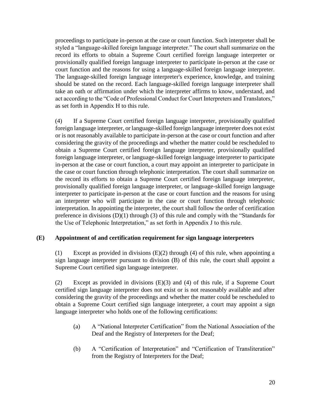proceedings to participate in-person at the case or court function. Such interpreter shall be styled a "language-skilled foreign language interpreter." The court shall summarize on the record its efforts to obtain a Supreme Court certified foreign language interpreter or provisionally qualified foreign language interpreter to participate in-person at the case or court function and the reasons for using a language-skilled foreign language interpreter. The language-skilled foreign language interpreter's experience, knowledge, and training should be stated on the record. Each language-skilled foreign language interpreter shall take an oath or affirmation under which the interpreter affirms to know, understand, and act according to the "Code of Professional Conduct for Court Interpreters and Translators," as set forth in Appendix H to this rule.

(4) If a Supreme Court certified foreign language interpreter, provisionally qualified foreign language interpreter, or language-skilled foreign language interpreter does not exist or is not reasonably available to participate in-person at the case or court function and after considering the gravity of the proceedings and whether the matter could be rescheduled to obtain a Supreme Court certified foreign language interpreter, provisionally qualified foreign language interpreter, or language-skilled foreign language interpreter to participate in-person at the case or court function, a court may appoint an interpreter to participate in the case or court function through telephonic interpretation. The court shall summarize on the record its efforts to obtain a Supreme Court certified foreign language interpreter, provisionally qualified foreign language interpreter, or language-skilled foreign language interpreter to participate in-person at the case or court function and the reasons for using an interpreter who will participate in the case or court function through telephonic interpretation. In appointing the interpreter, the court shall follow the order of certification preference in divisions (D)(1) through (3) of this rule and comply with the "Standards for the Use of Telephonic Interpretation," as set forth in Appendix J to this rule.

#### **(E) Appointment of and certification requirement for sign language interpreters**

(1) Except as provided in divisions  $(E)(2)$  through (4) of this rule, when appointing a sign language interpreter pursuant to division (B) of this rule, the court shall appoint a Supreme Court certified sign language interpreter.

(2) Except as provided in divisions (E)(3) and (4) of this rule, if a Supreme Court certified sign language interpreter does not exist or is not reasonably available and after considering the gravity of the proceedings and whether the matter could be rescheduled to obtain a Supreme Court certified sign language interpreter, a court may appoint a sign language interpreter who holds one of the following certifications:

- (a) A "National Interpreter Certification" from the National Association of the Deaf and the Registry of Interpreters for the Deaf;
- (b) A "Certification of Interpretation" and "Certification of Transliteration" from the Registry of Interpreters for the Deaf;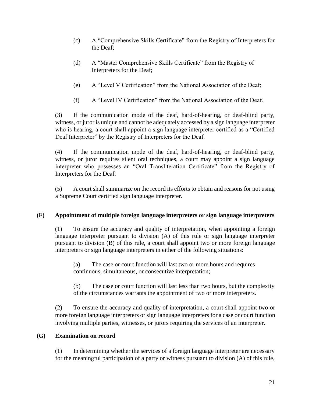- (c) A "Comprehensive Skills Certificate" from the Registry of Interpreters for the Deaf;
- (d) A "Master Comprehensive Skills Certificate" from the Registry of Interpreters for the Deaf;
- (e) A "Level V Certification" from the National Association of the Deaf;
- (f) A "Level IV Certification" from the National Association of the Deaf.

(3) If the communication mode of the deaf, hard-of-hearing, or deaf-blind party, witness, or juror is unique and cannot be adequately accessed by a sign language interpreter who is hearing, a court shall appoint a sign language interpreter certified as a "Certified Deaf Interpreter" by the Registry of Interpreters for the Deaf.

(4) If the communication mode of the deaf, hard-of-hearing, or deaf-blind party, witness, or juror requires silent oral techniques, a court may appoint a sign language interpreter who possesses an "Oral Transliteration Certificate" from the Registry of Interpreters for the Deaf.

(5) A court shall summarize on the record its efforts to obtain and reasons for not using a Supreme Court certified sign language interpreter.

#### **(F) Appointment of multiple foreign language interpreters or sign language interpreters**

(1) To ensure the accuracy and quality of interpretation, when appointing a foreign language interpreter pursuant to division (A) of this rule or sign language interpreter pursuant to division (B) of this rule, a court shall appoint two or more foreign language interpreters or sign language interpreters in either of the following situations:

(a) The case or court function will last two or more hours and requires continuous, simultaneous, or consecutive interpretation;

(b) The case or court function will last less than two hours, but the complexity of the circumstances warrants the appointment of two or more interpreters.

(2) To ensure the accuracy and quality of interpretation, a court shall appoint two or more foreign language interpreters or sign language interpreters for a case or court function involving multiple parties, witnesses, or jurors requiring the services of an interpreter.

#### **(G) Examination on record**

(1) In determining whether the services of a foreign language interpreter are necessary for the meaningful participation of a party or witness pursuant to division (A) of this rule,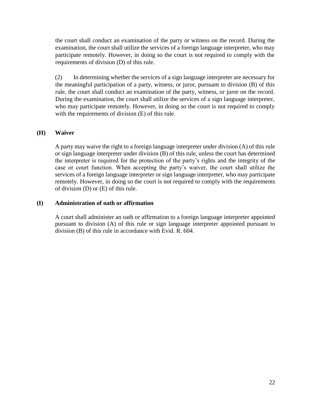the court shall conduct an examination of the party or witness on the record. During the examination, the court shall utilize the services of a foreign language interpreter, who may participate remotely. However, in doing so the court is not required to comply with the requirements of division (D) of this rule.

(2) In determining whether the services of a sign language interpreter are necessary for the meaningful participation of a party, witness, or juror, pursuant to division (B) of this rule, the court shall conduct an examination of the party, witness, or juror on the record. During the examination, the court shall utilize the services of a sign language interpreter, who may participate remotely. However, in doing so the court is not required to comply with the requirements of division  $(E)$  of this rule.

#### **(H) Waiver**

A party may waive the right to a foreign language interpreter under division (A) of this rule or sign language interpreter under division (B) of this rule, unless the court has determined the interpreter is required for the protection of the party's rights and the integrity of the case or court function. When accepting the party's waiver, the court shall utilize the services of a foreign language interpreter or sign language interpreter, who may participate remotely. However, in doing so the court is not required to comply with the requirements of division (D) or (E) of this rule.

#### **(I) Administration of oath or affirmation**

A court shall administer an oath or affirmation to a foreign language interpreter appointed pursuant to division (A) of this rule or sign language interpreter appointed pursuant to division (B) of this rule in accordance with Evid. R. 604.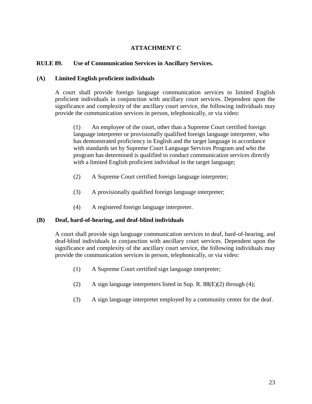#### **ATTACHMENT C**

#### **RULE 89. Use of Communication Services in Ancillary Services.**

#### **(A) Limited English proficient individuals**

A court shall provide foreign language communication services to limited English proficient individuals in conjunction with ancillary court services. Dependent upon the significance and complexity of the ancillary court service, the following individuals may provide the communication services in person, telephonically, or via video:

(1) An employee of the court, other than a Supreme Court certified foreign language interpreter or provisionally qualified foreign language interpreter, who has demonstrated proficiency in English and the target language in accordance with standards set by Supreme Court Language Services Program and who the program has determined is qualified to conduct communication services directly with a limited English proficient individual in the target language;

- (2) A Supreme Court certified foreign language interpreter;
- (3) A provisionally qualified foreign language interpreter;
- (4) A registered foreign language interpreter.

#### **(B) Deaf, hard-of-hearing, and deaf-blind individuals**

A court shall provide sign language communication services to deaf, hard-of-hearing, and deaf-blind individuals in conjunction with ancillary court services. Dependent upon the significance and complexity of the ancillary court service, the following individuals may provide the communication services in person, telephonically, or via video:

- (1) A Supreme Court certified sign language interpreter;
- (2) A sign language interpreters listed in Sup. R.  $88(E)(2)$  through (4);
- (3) A sign language interpreter employed by a community center for the deaf.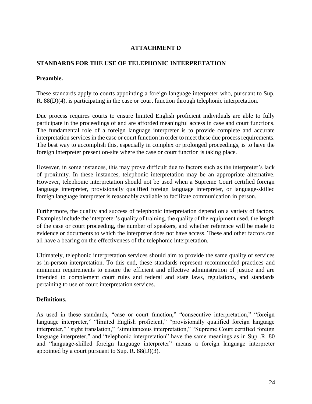#### **ATTACHMENT D**

#### **STANDARDS FOR THE USE OF TELEPHONIC INTERPRETATION**

#### **Preamble.**

These standards apply to courts appointing a foreign language interpreter who, pursuant to Sup. R. 88(D)(4), is participating in the case or court function through telephonic interpretation.

Due process requires courts to ensure limited English proficient individuals are able to fully participate in the proceedings of and are afforded meaningful access in case and court functions. The fundamental role of a foreign language interpreter is to provide complete and accurate interpretation services in the case or court function in order to meet these due process requirements. The best way to accomplish this, especially in complex or prolonged proceedings, is to have the foreign interpreter present on-site where the case or court function is taking place.

However, in some instances, this may prove difficult due to factors such as the interpreter's lack of proximity. In these instances, telephonic interpretation may be an appropriate alternative. However, telephonic interpretation should not be used when a Supreme Court certified foreign language interpreter, provisionally qualified foreign language interpreter, or language-skilled foreign language interpreter is reasonably available to facilitate communication in person.

Furthermore, the quality and success of telephonic interpretation depend on a variety of factors. Examples include the interpreter's quality of training, the quality of the equipment used, the length of the case or court proceeding, the number of speakers, and whether reference will be made to evidence or documents to which the interpreter does not have access. These and other factors can all have a bearing on the effectiveness of the telephonic interpretation.

Ultimately, telephonic interpretation services should aim to provide the same quality of services as in-person interpretation. To this end, these standards represent recommended practices and minimum requirements to ensure the efficient and effective administration of justice and are intended to complement court rules and federal and state laws, regulations, and standards pertaining to use of court interpretation services.

#### **Definitions.**

As used in these standards, "case or court function," "consecutive interpretation," "foreign language interpreter," "limited English proficient," "provisionally qualified foreign language interpreter," "sight translation," "simultaneous interpretation," "Supreme Court certified foreign language interpreter," and "telephonic interpretation" have the same meanings as in Sup .R. 80 and "language-skilled foreign language interpreter" means a foreign language interpreter appointed by a court pursuant to Sup. R. 88(D)(3).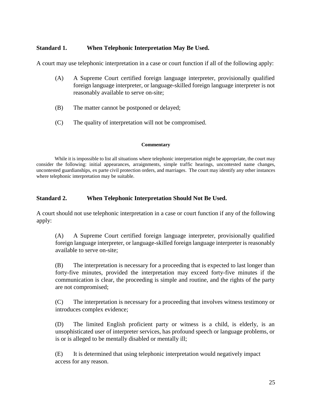#### **Standard 1. When Telephonic Interpretation May Be Used.**

A court may use telephonic interpretation in a case or court function if all of the following apply:

- (A) A Supreme Court certified foreign language interpreter, provisionally qualified foreign language interpreter, or language-skilled foreign language interpreter is not reasonably available to serve on-site;
- (B) The matter cannot be postponed or delayed;
- (C) The quality of interpretation will not be compromised.

#### **Commentary**

While it is impossible to list all situations where telephonic interpretation might be appropriate, the court may consider the following: initial appearances, arraignments, simple traffic hearings, uncontested name changes, uncontested guardianships, ex parte civil protection orders, and marriages. The court may identify any other instances where telephonic interpretation may be suitable.

#### **Standard 2. When Telephonic Interpretation Should Not Be Used.**

A court should not use telephonic interpretation in a case or court function if any of the following apply:

(A) A Supreme Court certified foreign language interpreter, provisionally qualified foreign language interpreter, or language-skilled foreign language interpreter is reasonably available to serve on-site;

(B) The interpretation is necessary for a proceeding that is expected to last longer than forty-five minutes, provided the interpretation may exceed forty-five minutes if the communication is clear, the proceeding is simple and routine, and the rights of the party are not compromised;

(C) The interpretation is necessary for a proceeding that involves witness testimony or introduces complex evidence;

(D) The limited English proficient party or witness is a child, is elderly, is an unsophisticated user of interpreter services, has profound speech or language problems, or is or is alleged to be mentally disabled or mentally ill;

(E) It is determined that using telephonic interpretation would negatively impact access for any reason.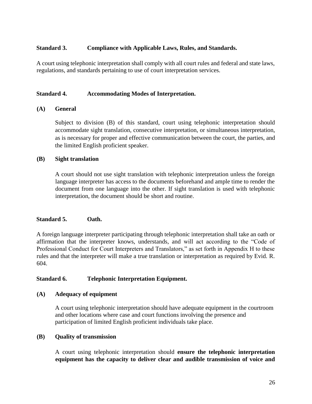#### **Standard 3. Compliance with Applicable Laws, Rules, and Standards.**

A court using telephonic interpretation shall comply with all court rules and federal and state laws, regulations, and standards pertaining to use of court interpretation services.

#### **Standard 4. Accommodating Modes of Interpretation.**

#### **(A) General**

Subject to division (B) of this standard, court using telephonic interpretation should accommodate sight translation, consecutive interpretation, or simultaneous interpretation, as is necessary for proper and effective communication between the court, the parties, and the limited English proficient speaker.

#### **(B) Sight translation**

A court should not use sight translation with telephonic interpretation unless the foreign language interpreter has access to the documents beforehand and ample time to render the document from one language into the other. If sight translation is used with telephonic interpretation, the document should be short and routine.

#### **Standard 5. Oath.**

A foreign language interpreter participating through telephonic interpretation shall take an oath or affirmation that the interpreter knows, understands, and will act according to the "Code of Professional Conduct for Court Interpreters and Translators," as set forth in Appendix H to these rules and that the interpreter will make a true translation or interpretation as required by Evid. R. 604.

#### **Standard 6. Telephonic Interpretation Equipment.**

#### **(A) Adequacy of equipment**

A court using telephonic interpretation should have adequate equipment in the courtroom and other locations where case and court functions involving the presence and participation of limited English proficient individuals take place.

#### **(B) Quality of transmission**

A court using telephonic interpretation should **ensure the telephonic interpretation equipment has the capacity to deliver clear and audible transmission of voice and**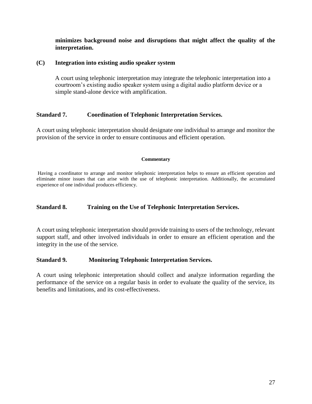**minimizes background noise and disruptions that might affect the quality of the interpretation.**

#### **(C) Integration into existing audio speaker system**

A court using telephonic interpretation may integrate the telephonic interpretation into a courtroom's existing audio speaker system using a digital audio platform device or a simple stand-alone device with amplification.

#### **Standard 7. Coordination of Telephonic Interpretation Services.**

A court using telephonic interpretation should designate one individual to arrange and monitor the provision of the service in order to ensure continuous and efficient operation.

#### **Commentary**

Having a coordinator to arrange and monitor telephonic interpretation helps to ensure an efficient operation and eliminate minor issues that can arise with the use of telephonic interpretation. Additionally, the accumulated experience of one individual produces efficiency.

#### **Standard 8. Training on the Use of Telephonic Interpretation Services.**

A court using telephonic interpretation should provide training to users of the technology, relevant support staff, and other involved individuals in order to ensure an efficient operation and the integrity in the use of the service.

#### **Standard 9. Monitoring Telephonic Interpretation Services.**

A court using telephonic interpretation should collect and analyze information regarding the performance of the service on a regular basis in order to evaluate the quality of the service, its benefits and limitations, and its cost-effectiveness.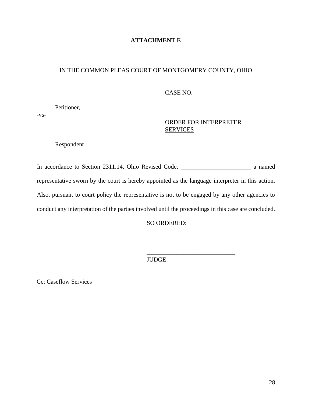#### **ATTACHMENT E**

#### IN THE COMMON PLEAS COURT OF MONTGOMERY COUNTY, OHIO

#### CASE NO.

Petitioner,

-vs-

#### ORDER FOR INTERPRETER **SERVICES**

Respondent

In accordance to Section 2311.14, Ohio Revised Code, \_\_\_\_\_\_\_\_\_\_\_\_\_\_\_\_\_\_\_\_\_\_\_ a named representative sworn by the court is hereby appointed as the language interpreter in this action. Also, pursuant to court policy the representative is not to be engaged by any other agencies to conduct any interpretation of the parties involved until the proceedings in this case are concluded.

SO ORDERED:

\_\_\_\_\_\_\_\_\_\_\_\_\_\_\_\_\_\_\_\_\_\_\_\_\_\_\_\_\_

JUDGE

Cc: Caseflow Services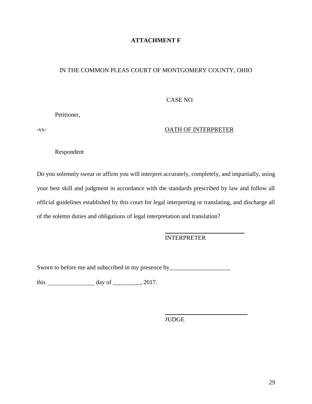#### **ATTACHMENT F**

#### IN THE COMMON PLEAS COURT OF MONTGOMERY COUNTY, OHIO

#### CASE NO.

Petitioner,

#### -vs- **OATH OF INTERPRETER**

Respondent

Do you solemnly swear or affirm you will interpret accurately, completely, and impartially, using your best skill and judgment in accordance with the standards prescribed by law and follow all official guidelines established by this court for legal interpreting or translating, and discharge all of the solemn duties and obligations of legal interpretation and translation?

#### INTERPRETER

\_\_\_\_\_\_\_\_\_\_\_\_\_\_\_\_\_\_\_\_\_\_\_\_\_\_

 $\overline{\phantom{a}}$  , which is a set of the set of the set of the set of the set of the set of the set of the set of the set of the set of the set of the set of the set of the set of the set of the set of the set of the set of th

Sworn to before me and subscribed in my presence by

this day of \_\_\_\_\_\_\_\_\_, 2017.

JUDGE